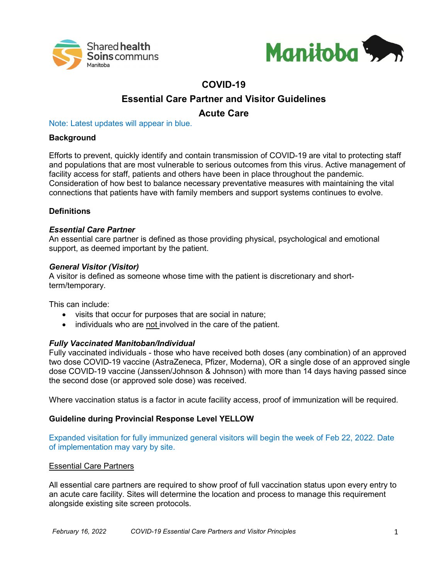



# **COVID-19**

# **Essential Care Partner and Visitor Guidelines**

# **Acute Care**

Note: Latest updates will appear in blue.

## **Background**

Efforts to prevent, quickly identify and contain transmission of COVID-19 are vital to protecting staff and populations that are most vulnerable to serious outcomes from this virus. Active management of facility access for staff, patients and others have been in place throughout the pandemic. Consideration of how best to balance necessary preventative measures with maintaining the vital connections that patients have with family members and support systems continues to evolve.

## **Definitions**

### *Essential Care Partner*

An essential care partner is defined as those providing physical, psychological and emotional support, as deemed important by the patient.

#### *General Visitor (Visitor)*

A visitor is defined as someone whose time with the patient is discretionary and shortterm/temporary.

This can include:

- visits that occur for purposes that are social in nature;
- individuals who are not involved in the care of the patient.

## *Fully Vaccinated Manitoban/Individual*

Fully vaccinated individuals - those who have received both doses (any combination) of an approved two dose COVID-19 vaccine (AstraZeneca, Pfizer, Moderna), OR a single dose of an approved single dose COVID-19 vaccine (Janssen/Johnson & Johnson) with more than 14 days having passed since the second dose (or approved sole dose) was received.

Where vaccination status is a factor in acute facility access, proof of immunization will be required.

## **Guideline during Provincial Response Level YELLOW**

Expanded visitation for fully immunized general visitors will begin the week of Feb 22, 2022. Date of implementation may vary by site.

#### Essential Care Partners

All essential care partners are required to show proof of full vaccination status upon every entry to an acute care facility. Sites will determine the location and process to manage this requirement alongside existing site screen protocols.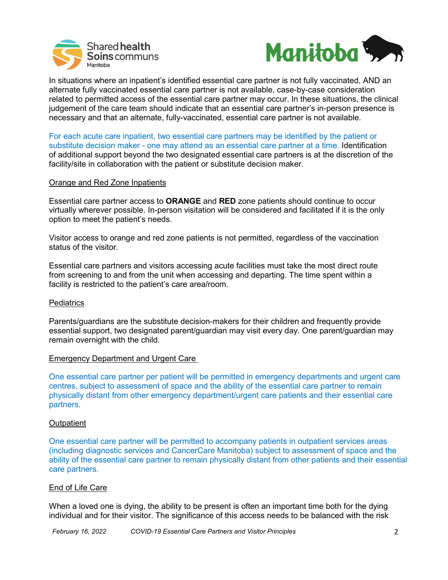



In situations where an inpatient's identified essential care partner is not fully vaccinated, AND an alternate fully vaccinated essential care partner is not available, case-by-case consideration related to permitted access of the essential care partner may occur. In these situations, the clinical judgement of the care team should indicate that an essential care partner's in-person presence is necessary and that an alternate, fully-vaccinated, essential care partner is not available.

For each acute care inpatient, two essential care partners may be identified by the patient or substitute decision maker - one may attend as an essential care partner at a time. Identification of additional support beyond the two designated essential care partners is at the discretion of the facility/site in collaboration with the patient or substitute decision maker.

#### Orange and Red Zone Inpatients

Essential care partner access to **ORANGE** and **RED** zone patients should continue to occur virtually wherever possible. In-person visitation will be considered and facilitated if it is the only option to meet the patient's needs.

Visitor access to orange and red zone patients is not permitted, regardless of the vaccination status of the visitor.

Essential care partners and visitors accessing acute facilities must take the most direct route from screening to and from the unit when accessing and departing. The time spent within a facility is restricted to the patient's care area/room.

#### **Pediatrics**

Parents/guardians are the substitute decision-makers for their children and frequently provide essential support, two designated parent/guardian may visit every day. One parent/guardian may remain overnight with the child.

#### Emergency Department and Urgent Care

One essential care partner per patient will be permitted in emergency departments and urgent care centres, subject to assessment of space and the ability of the essential care partner to remain physically distant from other emergency department/urgent care patients and their essential care partners.

#### **Outpatient**

One essential care partner will be permitted to accompany patients in outpatient services areas (including diagnostic services and CancerCare Manitoba) subject to assessment of space and the ability of the essential care partner to remain physically distant from other patients and their essential care partners.

#### End of Life Care

When a loved one is dying, the ability to be present is often an important time both for the dying individual and for their visitor. The significance of this access needs to be balanced with the risk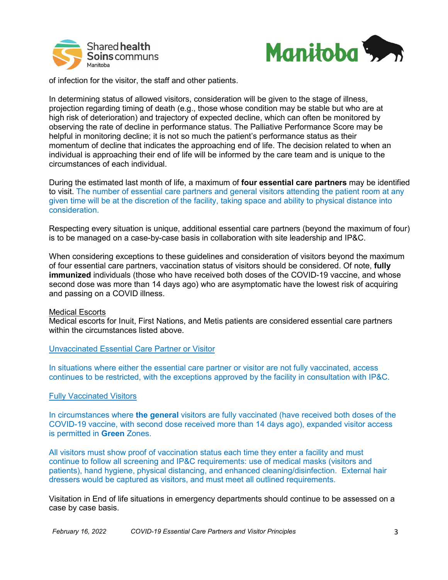



of infection for the visitor, the staff and other patients.

In determining status of allowed visitors, consideration will be given to the stage of illness, projection regarding timing of death (e.g., those whose condition may be stable but who are at high risk of deterioration) and trajectory of expected decline, which can often be monitored by observing the rate of decline in performance status. The Palliative Performance Score may be helpful in monitoring decline; it is not so much the patient's performance status as their momentum of decline that indicates the approaching end of life. The decision related to when an individual is approaching their end of life will be informed by the care team and is unique to the circumstances of each individual.

During the estimated last month of life, a maximum of **four essential care partners** may be identified to visit. The number of essential care partners and general visitors attending the patient room at any given time will be at the discretion of the facility, taking space and ability to physical distance into consideration.

Respecting every situation is unique, additional essential care partners (beyond the maximum of four) is to be managed on a case-by-case basis in collaboration with site leadership and IP&C.

When considering exceptions to these guidelines and consideration of visitors beyond the maximum of four essential care partners, vaccination status of visitors should be considered. Of note, **fully immunized** individuals (those who have received both doses of the COVID-19 vaccine, and whose second dose was more than 14 days ago) who are asymptomatic have the lowest risk of acquiring and passing on a COVID illness.

#### Medical Escorts

Medical escorts for Inuit, First Nations, and Metis patients are considered essential care partners within the circumstances listed above.

Unvaccinated Essential Care Partner or Visitor

In situations where either the essential care partner or visitor are not fully vaccinated, access continues to be restricted, with the exceptions approved by the facility in consultation with IP&C.

#### Fully Vaccinated Visitors

In circumstances where **the general** visitors are fully vaccinated (have received both doses of the COVID-19 vaccine, with second dose received more than 14 days ago), expanded visitor access is permitted in **Green** Zones.

All visitors must show proof of vaccination status each time they enter a facility and must continue to follow all screening and IP&C requirements: use of medical masks (visitors and patients), hand hygiene, physical distancing, and enhanced cleaning/disinfection. External hair dressers would be captured as visitors, and must meet all outlined requirements.

Visitation in End of life situations in emergency departments should continue to be assessed on a case by case basis.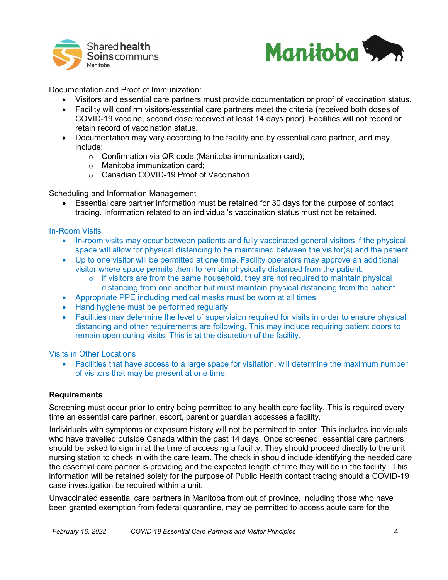



Documentation and Proof of Immunization:

- Visitors and essential care partners must provide documentation or proof of vaccination status.
- Facility will confirm visitors/essential care partners meet the criteria (received both doses of COVID-19 vaccine, second dose received at least 14 days prior). Facilities will not record or retain record of vaccination status.
- Documentation may vary according to the facility and by essential care partner, and may include:
	- o Confirmation via QR code (Manitoba immunization card);
	- o Manitoba immunization card;
	- o Canadian COVID-19 Proof of Vaccination

Scheduling and Information Management

• Essential care partner information must be retained for 30 days for the purpose of contact tracing. Information related to an individual's vaccination status must not be retained.

### In-Room Visits

- In-room visits may occur between patients and fully vaccinated general visitors if the physical space will allow for physical distancing to be maintained between the visitor(s) and the patient.
- Up to one visitor will be permitted at one time. Facility operators may approve an additional visitor where space permits them to remain physically distanced from the patient.
	- o If visitors are from the same household, they are not required to maintain physical distancing from one another but must maintain physical distancing from the patient.
- Appropriate PPE including medical masks must be worn at all times.
- Hand hygiene must be performed regularly.
- Facilities may determine the level of supervision required for visits in order to ensure physical distancing and other requirements are following. This may include requiring patient doors to remain open during visits. This is at the discretion of the facility.

Visits in Other Locations

• Facilities that have access to a large space for visitation, will determine the maximum number of visitors that may be present at one time.

## **Requirements**

Screening must occur prior to entry being permitted to any health care facility. This is required every time an essential care partner, escort, parent or guardian accesses a facility.

Individuals with symptoms or exposure history will not be permitted to enter. This includes individuals who have travelled outside Canada within the past 14 days. Once screened, essential care partners should be asked to sign in at the time of accessing a facility. They should proceed directly to the unit nursing station to check in with the care team. The check in should include identifying the needed care the essential care partner is providing and the expected length of time they will be in the facility. This information will be retained solely for the purpose of Public Health contact tracing should a COVID-19 case investigation be required within a unit.

Unvaccinated essential care partners in Manitoba from out of province, including those who have been granted exemption from federal quarantine, may be permitted to access acute care for the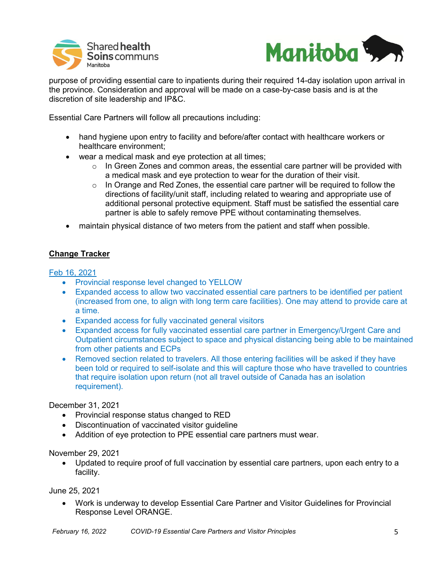



purpose of providing essential care to inpatients during their required 14-day isolation upon arrival in the province. Consideration and approval will be made on a case-by-case basis and is at the discretion of site leadership and IP&C.

Essential Care Partners will follow all precautions including:

- hand hygiene upon entry to facility and before/after contact with healthcare workers or healthcare environment;
- wear a medical mask and eye protection at all times;
	- $\circ$  In Green Zones and common areas, the essential care partner will be provided with a medical mask and eye protection to wear for the duration of their visit.
	- $\circ$  In Orange and Red Zones, the essential care partner will be required to follow the directions of facility/unit staff, including related to wearing and appropriate use of additional personal protective equipment. Staff must be satisfied the essential care partner is able to safely remove PPE without contaminating themselves.
- maintain physical distance of two meters from the patient and staff when possible.

## **Change Tracker**

### Feb 16, 2021

- Provincial response level changed to YELLOW
- Expanded access to allow two vaccinated essential care partners to be identified per patient (increased from one, to align with long term care facilities). One may attend to provide care at a time.
- Expanded access for fully vaccinated general visitors
- Expanded access for fully vaccinated essential care partner in Emergency/Urgent Care and Outpatient circumstances subject to space and physical distancing being able to be maintained from other patients and ECPs
- Removed section related to travelers. All those entering facilities will be asked if they have been told or required to self-isolate and this will capture those who have travelled to countries that require isolation upon return (not all travel outside of Canada has an isolation requirement).

#### December 31, 2021

- Provincial response status changed to RED
- Discontinuation of vaccinated visitor guideline
- Addition of eye protection to PPE essential care partners must wear.

#### November 29, 2021

• Updated to require proof of full vaccination by essential care partners, upon each entry to a facility.

June 25, 2021

• Work is underway to develop Essential Care Partner and Visitor Guidelines for Provincial Response Level ORANGE.